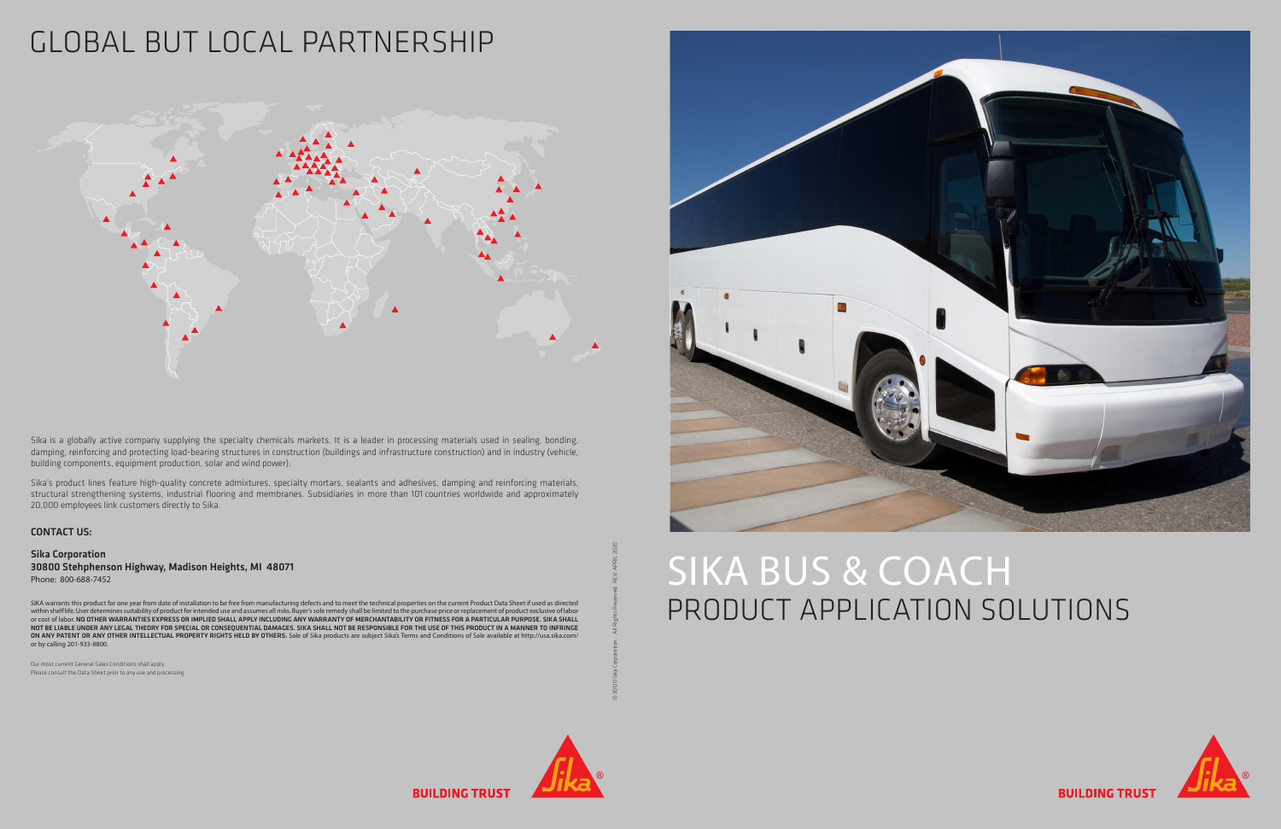# SIKA BUS & COACH PRODUCT APPLICATION SOLUTIONS



**BUILDING TRUS** 



**BUILDING TRUS** 

© 20120 Sika Corporation. All Rights Reserved. REV: APRIL 2020



### GLOBAL BUT LOCAL PARTNERSHIP



Sika is a globally active company supplying the specialty chemicals markets. It is a leader in processing materials used in sealing, bonding, damping, reinforcing and protecting load-bearing structures in construction (buildings and infrastructure construction) and in industry (vehicle, building components, equipment production, solar and wind power).

Sika's product lines feature high-quality concrete admixtures, specialty mortars, sealants and adhesives, damping and reinforcing materials, structural strengthening systems, industrial flooring and membranes. Subsidiaries in more than 101 countries worldwide and approximately 20,000 employees link customers directly to Sika.

Our most current General Sales Conditions shall apply. Please consult the Data Sheet prior to any use and processing.

SIKA warrants this product for one year from date of installation to be free from manufacturing defects and to meet the technical properties on the current Product Data Sheet if used as directed<br>within shelf life. User det or cost of labor. NO OTHER WARRANTIES EXPRESS OR IMPLIED SHALL APPLY INCLUDING ANY WARRANTY OF MERCHANTABILITY OR FITNESS FOR A PARTICULAR PURPOSE. SIKA SHALL NOT BE LIABLE UNDER ANY LEGAL THEORY FOR SPECIAL OR CONSEQUENTIAL DAMAGES. SIKA SHALL NOT BE RESPONSIBLE FOR THE USE OF THIS PRODUCT IN A MANNER TO INFRINGE ON ANY PATENT OR ANY OTHER INTELLECTUAL PROPERTY RIGHTS HELD BY OTHERS. Sale of Sika products are subject Sika's Terms and Conditions of Sale available at http://usa.sika.com/ or by calling 201-933-8800.

#### CONTACT US:

Sika Corporation 30800 Stehphenson Highway, Madison Heights, MI 48071 Phone: 800-688-7452